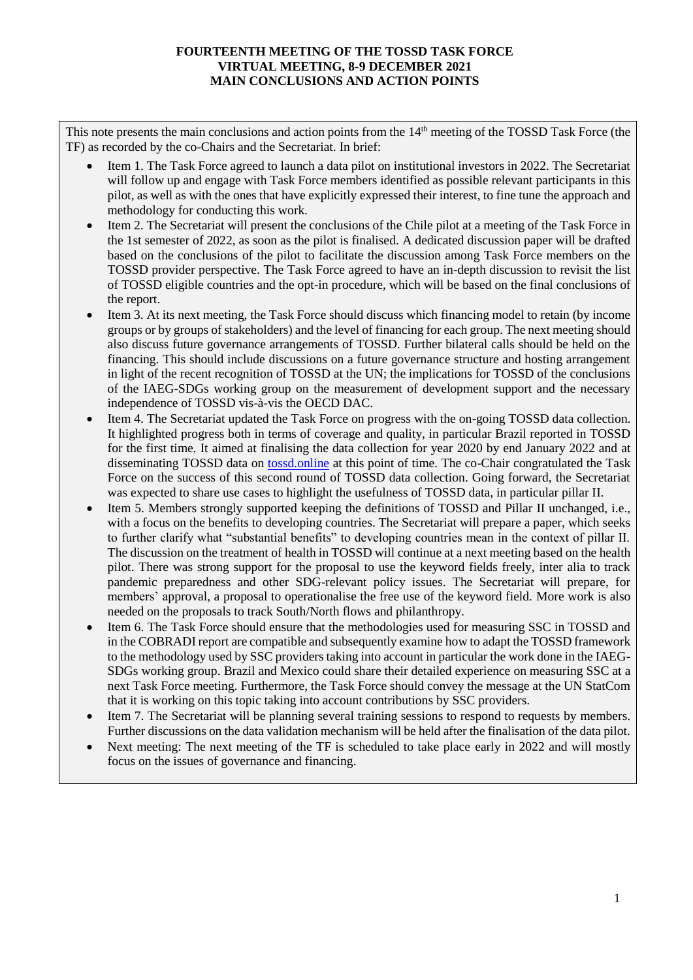## **FOURTEENTH MEETING OF THE TOSSD TASK FORCE VIRTUAL MEETING, 8-9 DECEMBER 2021 MAIN CONCLUSIONS AND ACTION POINTS**

This note presents the main conclusions and action points from the 14<sup>th</sup> meeting of the TOSSD Task Force (the TF) as recorded by the co-Chairs and the Secretariat. In brief:

- Item 1. The Task Force agreed to launch a data pilot on institutional investors in 2022. The Secretariat will follow up and engage with Task Force members identified as possible relevant participants in this pilot, as well as with the ones that have explicitly expressed their interest, to fine tune the approach and methodology for conducting this work.
- Item 2. The Secretariat will present the conclusions of the Chile pilot at a meeting of the Task Force in the 1st semester of 2022, as soon as the pilot is finalised. A dedicated discussion paper will be drafted based on the conclusions of the pilot to facilitate the discussion among Task Force members on the TOSSD provider perspective. The Task Force agreed to have an in-depth discussion to revisit the list of TOSSD eligible countries and the opt-in procedure, which will be based on the final conclusions of the report.
- Item 3. At its next meeting, the Task Force should discuss which financing model to retain (by income groups or by groups of stakeholders) and the level of financing for each group. The next meeting should also discuss future governance arrangements of TOSSD. Further bilateral calls should be held on the financing. This should include discussions on a future governance structure and hosting arrangement in light of the recent recognition of TOSSD at the UN; the implications for TOSSD of the conclusions of the IAEG-SDGs working group on the measurement of development support and the necessary independence of TOSSD vis-à-vis the OECD DAC.
- Item 4. The Secretariat updated the Task Force on progress with the on-going TOSSD data collection. It highlighted progress both in terms of coverage and quality, in particular Brazil reported in TOSSD for the first time. It aimed at finalising the data collection for year 2020 by end January 2022 and at disseminating TOSSD data on [tossd.online](https://tossd.online/) at this point of time. The co-Chair congratulated the Task Force on the success of this second round of TOSSD data collection. Going forward, the Secretariat was expected to share use cases to highlight the usefulness of TOSSD data, in particular pillar II.
- Item 5. Members strongly supported keeping the definitions of TOSSD and Pillar II unchanged, i.e., with a focus on the benefits to developing countries. The Secretariat will prepare a paper, which seeks to further clarify what "substantial benefits" to developing countries mean in the context of pillar II. The discussion on the treatment of health in TOSSD will continue at a next meeting based on the health pilot. There was strong support for the proposal to use the keyword fields freely, inter alia to track pandemic preparedness and other SDG-relevant policy issues. The Secretariat will prepare, for members' approval, a proposal to operationalise the free use of the keyword field. More work is also needed on the proposals to track South/North flows and philanthropy.
- Item 6. The Task Force should ensure that the methodologies used for measuring SSC in TOSSD and in the COBRADI report are compatible and subsequently examine how to adapt the TOSSD framework to the methodology used by SSC providers taking into account in particular the work done in the IAEG-SDGs working group. Brazil and Mexico could share their detailed experience on measuring SSC at a next Task Force meeting. Furthermore, the Task Force should convey the message at the UN StatCom that it is working on this topic taking into account contributions by SSC providers.
- Item 7. The Secretariat will be planning several training sessions to respond to requests by members. Further discussions on the data validation mechanism will be held after the finalisation of the data pilot.
- Next meeting: The next meeting of the TF is scheduled to take place early in 2022 and will mostly focus on the issues of governance and financing.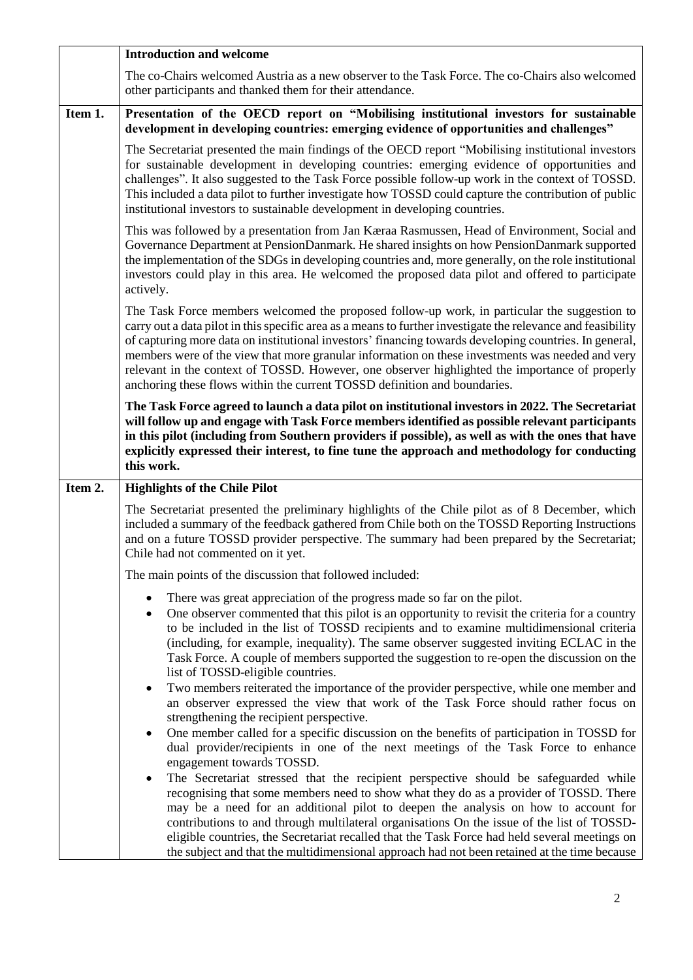|         | <b>Introduction and welcome</b>                                                                                                                                                                                                                                                                                                                                                                                                                                                                                                                                                                           |
|---------|-----------------------------------------------------------------------------------------------------------------------------------------------------------------------------------------------------------------------------------------------------------------------------------------------------------------------------------------------------------------------------------------------------------------------------------------------------------------------------------------------------------------------------------------------------------------------------------------------------------|
|         | The co-Chairs welcomed Austria as a new observer to the Task Force. The co-Chairs also welcomed<br>other participants and thanked them for their attendance.                                                                                                                                                                                                                                                                                                                                                                                                                                              |
| Item 1. | Presentation of the OECD report on "Mobilising institutional investors for sustainable<br>development in developing countries: emerging evidence of opportunities and challenges"                                                                                                                                                                                                                                                                                                                                                                                                                         |
|         | The Secretariat presented the main findings of the OECD report "Mobilising institutional investors"<br>for sustainable development in developing countries: emerging evidence of opportunities and<br>challenges". It also suggested to the Task Force possible follow-up work in the context of TOSSD.<br>This included a data pilot to further investigate how TOSSD could capture the contribution of public<br>institutional investors to sustainable development in developing countries.                                                                                                            |
|         | This was followed by a presentation from Jan Kæraa Rasmussen, Head of Environment, Social and<br>Governance Department at PensionDanmark. He shared insights on how PensionDanmark supported<br>the implementation of the SDGs in developing countries and, more generally, on the role institutional<br>investors could play in this area. He welcomed the proposed data pilot and offered to participate<br>actively.                                                                                                                                                                                   |
|         | The Task Force members welcomed the proposed follow-up work, in particular the suggestion to<br>carry out a data pilot in this specific area as a means to further investigate the relevance and feasibility<br>of capturing more data on institutional investors' financing towards developing countries. In general,<br>members were of the view that more granular information on these investments was needed and very<br>relevant in the context of TOSSD. However, one observer highlighted the importance of properly<br>anchoring these flows within the current TOSSD definition and boundaries. |
|         | The Task Force agreed to launch a data pilot on institutional investors in 2022. The Secretariat<br>will follow up and engage with Task Force members identified as possible relevant participants<br>in this pilot (including from Southern providers if possible), as well as with the ones that have<br>explicitly expressed their interest, to fine tune the approach and methodology for conducting<br>this work.                                                                                                                                                                                    |
| Item 2. | <b>Highlights of the Chile Pilot</b>                                                                                                                                                                                                                                                                                                                                                                                                                                                                                                                                                                      |
|         | The Secretariat presented the preliminary highlights of the Chile pilot as of 8 December, which<br>included a summary of the feedback gathered from Chile both on the TOSSD Reporting Instructions<br>and on a future TOSSD provider perspective. The summary had been prepared by the Secretariat;<br>Chile had not commented on it yet.                                                                                                                                                                                                                                                                 |
|         | The main points of the discussion that followed included:                                                                                                                                                                                                                                                                                                                                                                                                                                                                                                                                                 |
|         | There was great appreciation of the progress made so far on the pilot.<br>One observer commented that this pilot is an opportunity to revisit the criteria for a country<br>$\bullet$<br>to be included in the list of TOSSD recipients and to examine multidimensional criteria<br>(including, for example, inequality). The same observer suggested inviting ECLAC in the<br>Task Force. A couple of members supported the suggestion to re-open the discussion on the<br>list of TOSSD-eligible countries.                                                                                             |
|         | Two members reiterated the importance of the provider perspective, while one member and<br>$\bullet$<br>an observer expressed the view that work of the Task Force should rather focus on<br>strengthening the recipient perspective.                                                                                                                                                                                                                                                                                                                                                                     |
|         | One member called for a specific discussion on the benefits of participation in TOSSD for<br>dual provider/recipients in one of the next meetings of the Task Force to enhance<br>engagement towards TOSSD.                                                                                                                                                                                                                                                                                                                                                                                               |
|         | The Secretariat stressed that the recipient perspective should be safeguarded while<br>$\bullet$<br>recognising that some members need to show what they do as a provider of TOSSD. There<br>may be a need for an additional pilot to deepen the analysis on how to account for<br>contributions to and through multilateral organisations On the issue of the list of TOSSD-<br>eligible countries, the Secretariat recalled that the Task Force had held several meetings on<br>the subject and that the multidimensional approach had not been retained at the time because                            |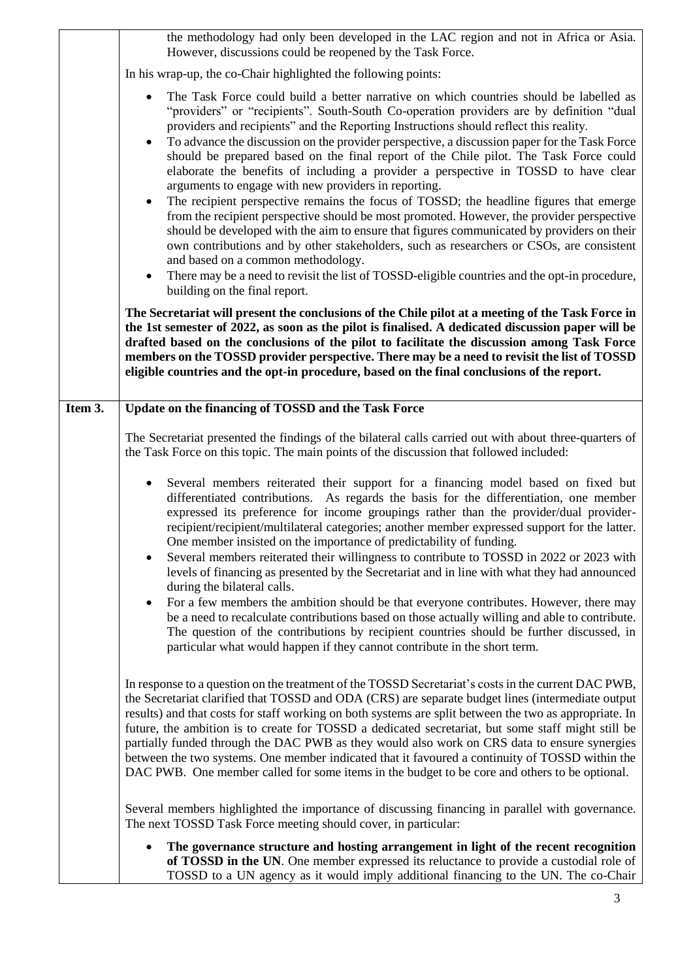|         | the methodology had only been developed in the LAC region and not in Africa or Asia.<br>However, discussions could be reopened by the Task Force.                                                                                                                                                                                                                                                                                                                                                                                                                                                                                                                                                                                                   |
|---------|-----------------------------------------------------------------------------------------------------------------------------------------------------------------------------------------------------------------------------------------------------------------------------------------------------------------------------------------------------------------------------------------------------------------------------------------------------------------------------------------------------------------------------------------------------------------------------------------------------------------------------------------------------------------------------------------------------------------------------------------------------|
|         | In his wrap-up, the co-Chair highlighted the following points:                                                                                                                                                                                                                                                                                                                                                                                                                                                                                                                                                                                                                                                                                      |
|         | The Task Force could build a better narrative on which countries should be labelled as<br>$\bullet$<br>"providers" or "recipients". South-South Co-operation providers are by definition "dual<br>providers and recipients" and the Reporting Instructions should reflect this reality.<br>To advance the discussion on the provider perspective, a discussion paper for the Task Force<br>$\bullet$<br>should be prepared based on the final report of the Chile pilot. The Task Force could<br>elaborate the benefits of including a provider a perspective in TOSSD to have clear<br>arguments to engage with new providers in reporting.<br>The recipient perspective remains the focus of TOSSD; the headline figures that emerge<br>$\bullet$ |
|         | from the recipient perspective should be most promoted. However, the provider perspective<br>should be developed with the aim to ensure that figures communicated by providers on their<br>own contributions and by other stakeholders, such as researchers or CSOs, are consistent<br>and based on a common methodology.<br>There may be a need to revisit the list of TOSSD-eligible countries and the opt-in procedure,<br>$\bullet$<br>building on the final report.                                                                                                                                                                                                                                                                            |
|         | The Secretariat will present the conclusions of the Chile pilot at a meeting of the Task Force in<br>the 1st semester of 2022, as soon as the pilot is finalised. A dedicated discussion paper will be<br>drafted based on the conclusions of the pilot to facilitate the discussion among Task Force<br>members on the TOSSD provider perspective. There may be a need to revisit the list of TOSSD<br>eligible countries and the opt-in procedure, based on the final conclusions of the report.                                                                                                                                                                                                                                                  |
| Item 3. | Update on the financing of TOSSD and the Task Force                                                                                                                                                                                                                                                                                                                                                                                                                                                                                                                                                                                                                                                                                                 |
|         | The Secretariat presented the findings of the bilateral calls carried out with about three-quarters of<br>the Task Force on this topic. The main points of the discussion that followed included:                                                                                                                                                                                                                                                                                                                                                                                                                                                                                                                                                   |
|         | Several members reiterated their support for a financing model based on fixed but<br>$\bullet$<br>differentiated contributions. As regards the basis for the differentiation, one member<br>expressed its preference for income groupings rather than the provider/dual provider-<br>recipient/recipient/multilateral categories; another member expressed support for the latter.<br>One member insisted on the importance of predictability of funding.<br>Several members reiterated their willingness to contribute to TOSSD in 2022 or 2023 with<br>٠<br>levels of financing as presented by the Secretariat and in line with what they had announced<br>during the bilateral calls.                                                           |
|         | For a few members the ambition should be that everyone contributes. However, there may<br>٠<br>be a need to recalculate contributions based on those actually willing and able to contribute.<br>The question of the contributions by recipient countries should be further discussed, in<br>particular what would happen if they cannot contribute in the short term.                                                                                                                                                                                                                                                                                                                                                                              |
|         | In response to a question on the treatment of the TOSSD Secretariat's costs in the current DAC PWB,<br>the Secretariat clarified that TOSSD and ODA (CRS) are separate budget lines (intermediate output<br>results) and that costs for staff working on both systems are split between the two as appropriate. In<br>future, the ambition is to create for TOSSD a dedicated secretariat, but some staff might still be<br>partially funded through the DAC PWB as they would also work on CRS data to ensure synergies<br>between the two systems. One member indicated that it favoured a continuity of TOSSD within the<br>DAC PWB. One member called for some items in the budget to be core and others to be optional.                        |
|         | Several members highlighted the importance of discussing financing in parallel with governance.<br>The next TOSSD Task Force meeting should cover, in particular:                                                                                                                                                                                                                                                                                                                                                                                                                                                                                                                                                                                   |
|         | The governance structure and hosting arrangement in light of the recent recognition<br>٠<br>of TOSSD in the UN. One member expressed its reluctance to provide a custodial role of<br>TOSSD to a UN agency as it would imply additional financing to the UN. The co-Chair                                                                                                                                                                                                                                                                                                                                                                                                                                                                           |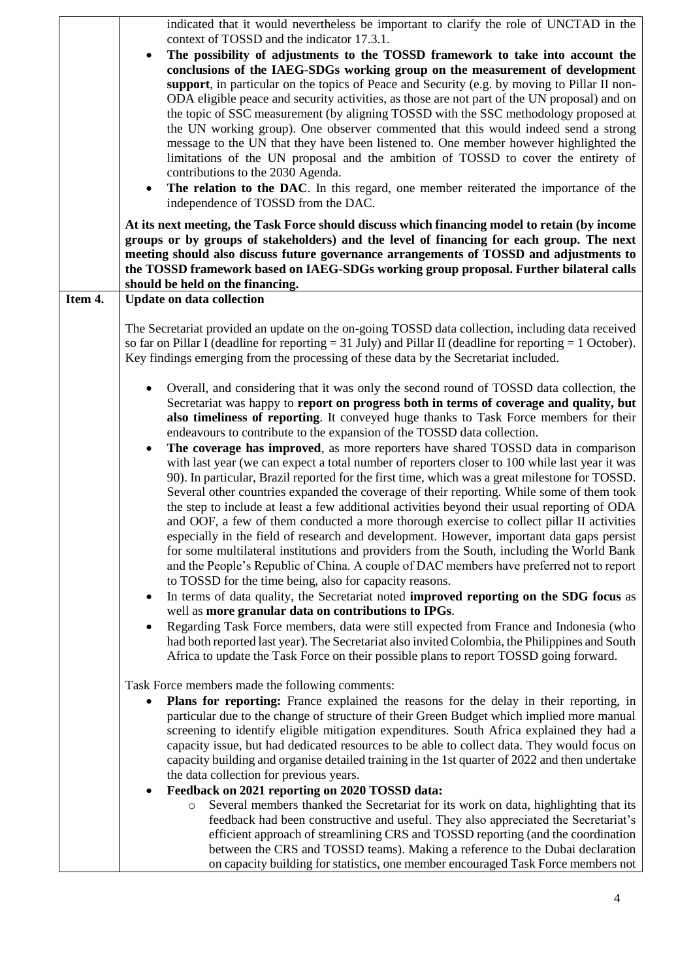|         | indicated that it would nevertheless be important to clarify the role of UNCTAD in the<br>context of TOSSD and the indicator 17.3.1.<br>The possibility of adjustments to the TOSSD framework to take into account the<br>conclusions of the IAEG-SDGs working group on the measurement of development<br>support, in particular on the topics of Peace and Security (e.g. by moving to Pillar II non-<br>ODA eligible peace and security activities, as those are not part of the UN proposal) and on<br>the topic of SSC measurement (by aligning TOSSD with the SSC methodology proposed at<br>the UN working group). One observer commented that this would indeed send a strong<br>message to the UN that they have been listened to. One member however highlighted the<br>limitations of the UN proposal and the ambition of TOSSD to cover the entirety of<br>contributions to the 2030 Agenda.<br>The relation to the DAC. In this regard, one member reiterated the importance of the<br>٠<br>independence of TOSSD from the DAC.                                                                                                                                                                                                                                                                                                                                                                                                                                                                                                                                                                                                                                                                                                                           |
|---------|-----------------------------------------------------------------------------------------------------------------------------------------------------------------------------------------------------------------------------------------------------------------------------------------------------------------------------------------------------------------------------------------------------------------------------------------------------------------------------------------------------------------------------------------------------------------------------------------------------------------------------------------------------------------------------------------------------------------------------------------------------------------------------------------------------------------------------------------------------------------------------------------------------------------------------------------------------------------------------------------------------------------------------------------------------------------------------------------------------------------------------------------------------------------------------------------------------------------------------------------------------------------------------------------------------------------------------------------------------------------------------------------------------------------------------------------------------------------------------------------------------------------------------------------------------------------------------------------------------------------------------------------------------------------------------------------------------------------------------------------------------------------------|
|         | At its next meeting, the Task Force should discuss which financing model to retain (by income<br>groups or by groups of stakeholders) and the level of financing for each group. The next<br>meeting should also discuss future governance arrangements of TOSSD and adjustments to<br>the TOSSD framework based on IAEG-SDGs working group proposal. Further bilateral calls<br>should be held on the financing.                                                                                                                                                                                                                                                                                                                                                                                                                                                                                                                                                                                                                                                                                                                                                                                                                                                                                                                                                                                                                                                                                                                                                                                                                                                                                                                                                     |
| Item 4. | <b>Update on data collection</b><br>The Secretariat provided an update on the on-going TOSSD data collection, including data received<br>so far on Pillar I (deadline for reporting $= 31$ July) and Pillar II (deadline for reporting $= 1$ October).<br>Key findings emerging from the processing of these data by the Secretariat included.                                                                                                                                                                                                                                                                                                                                                                                                                                                                                                                                                                                                                                                                                                                                                                                                                                                                                                                                                                                                                                                                                                                                                                                                                                                                                                                                                                                                                        |
|         | Overall, and considering that it was only the second round of TOSSD data collection, the<br>$\bullet$<br>Secretariat was happy to report on progress both in terms of coverage and quality, but<br>also timeliness of reporting. It conveyed huge thanks to Task Force members for their<br>endeavours to contribute to the expansion of the TOSSD data collection.<br>The coverage has improved, as more reporters have shared TOSSD data in comparison<br>٠<br>with last year (we can expect a total number of reporters closer to 100 while last year it was<br>90). In particular, Brazil reported for the first time, which was a great milestone for TOSSD.<br>Several other countries expanded the coverage of their reporting. While some of them took<br>the step to include at least a few additional activities beyond their usual reporting of ODA<br>and OOF, a few of them conducted a more thorough exercise to collect pillar II activities<br>especially in the field of research and development. However, important data gaps persist<br>for some multilateral institutions and providers from the South, including the World Bank<br>and the People's Republic of China. A couple of DAC members have preferred not to report<br>to TOSSD for the time being, also for capacity reasons.<br>In terms of data quality, the Secretariat noted improved reporting on the SDG focus as<br>$\bullet$<br>well as more granular data on contributions to IPGs.<br>Regarding Task Force members, data were still expected from France and Indonesia (who<br>٠<br>had both reported last year). The Secretariat also invited Colombia, the Philippines and South<br>Africa to update the Task Force on their possible plans to report TOSSD going forward. |
|         | Task Force members made the following comments:<br>Plans for reporting: France explained the reasons for the delay in their reporting, in<br>٠<br>particular due to the change of structure of their Green Budget which implied more manual<br>screening to identify eligible mitigation expenditures. South Africa explained they had a<br>capacity issue, but had dedicated resources to be able to collect data. They would focus on<br>capacity building and organise detailed training in the 1st quarter of 2022 and then undertake<br>the data collection for previous years.<br>Feedback on 2021 reporting on 2020 TOSSD data:<br>٠<br>Several members thanked the Secretariat for its work on data, highlighting that its<br>$\circ$<br>feedback had been constructive and useful. They also appreciated the Secretariat's<br>efficient approach of streamlining CRS and TOSSD reporting (and the coordination<br>between the CRS and TOSSD teams). Making a reference to the Dubai declaration<br>on capacity building for statistics, one member encouraged Task Force members not                                                                                                                                                                                                                                                                                                                                                                                                                                                                                                                                                                                                                                                                         |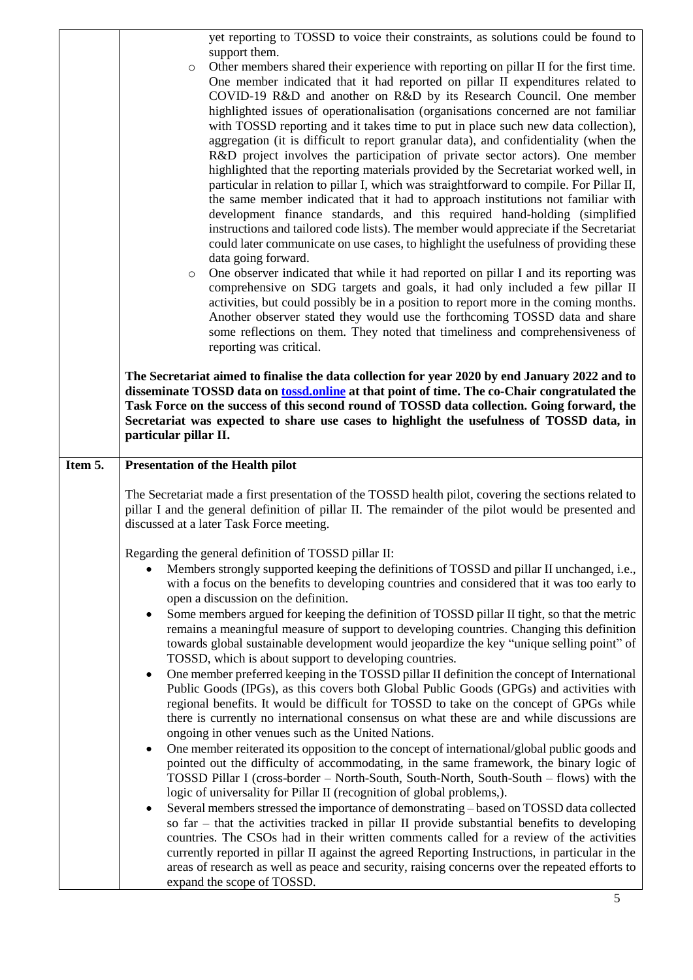|         | yet reporting to TOSSD to voice their constraints, as solutions could be found to<br>support them.<br>Other members shared their experience with reporting on pillar II for the first time.<br>$\circ$<br>One member indicated that it had reported on pillar II expenditures related to<br>COVID-19 R&D and another on R&D by its Research Council. One member<br>highlighted issues of operationalisation (organisations concerned are not familiar<br>with TOSSD reporting and it takes time to put in place such new data collection),<br>aggregation (it is difficult to report granular data), and confidentiality (when the<br>R&D project involves the participation of private sector actors). One member<br>highlighted that the reporting materials provided by the Secretariat worked well, in<br>particular in relation to pillar I, which was straightforward to compile. For Pillar II,<br>the same member indicated that it had to approach institutions not familiar with<br>development finance standards, and this required hand-holding (simplified<br>instructions and tailored code lists). The member would appreciate if the Secretariat<br>could later communicate on use cases, to highlight the usefulness of providing these<br>data going forward.<br>One observer indicated that while it had reported on pillar I and its reporting was<br>$\circ$<br>comprehensive on SDG targets and goals, it had only included a few pillar II<br>activities, but could possibly be in a position to report more in the coming months.<br>Another observer stated they would use the forthcoming TOSSD data and share<br>some reflections on them. They noted that timeliness and comprehensiveness of                                                                                                                                                                                                                                                                                                  |
|---------|----------------------------------------------------------------------------------------------------------------------------------------------------------------------------------------------------------------------------------------------------------------------------------------------------------------------------------------------------------------------------------------------------------------------------------------------------------------------------------------------------------------------------------------------------------------------------------------------------------------------------------------------------------------------------------------------------------------------------------------------------------------------------------------------------------------------------------------------------------------------------------------------------------------------------------------------------------------------------------------------------------------------------------------------------------------------------------------------------------------------------------------------------------------------------------------------------------------------------------------------------------------------------------------------------------------------------------------------------------------------------------------------------------------------------------------------------------------------------------------------------------------------------------------------------------------------------------------------------------------------------------------------------------------------------------------------------------------------------------------------------------------------------------------------------------------------------------------------------------------------------------------------------------------------------------------------------------------------------------------------------------------------------|
|         | reporting was critical.<br>The Secretariat aimed to finalise the data collection for year 2020 by end January 2022 and to<br>disseminate TOSSD data on tossd.online at that point of time. The co-Chair congratulated the<br>Task Force on the success of this second round of TOSSD data collection. Going forward, the<br>Secretariat was expected to share use cases to highlight the usefulness of TOSSD data, in<br>particular pillar II.                                                                                                                                                                                                                                                                                                                                                                                                                                                                                                                                                                                                                                                                                                                                                                                                                                                                                                                                                                                                                                                                                                                                                                                                                                                                                                                                                                                                                                                                                                                                                                             |
| Item 5. | <b>Presentation of the Health pilot</b>                                                                                                                                                                                                                                                                                                                                                                                                                                                                                                                                                                                                                                                                                                                                                                                                                                                                                                                                                                                                                                                                                                                                                                                                                                                                                                                                                                                                                                                                                                                                                                                                                                                                                                                                                                                                                                                                                                                                                                                    |
|         | The Secretariat made a first presentation of the TOSSD health pilot, covering the sections related to<br>pillar I and the general definition of pillar II. The remainder of the pilot would be presented and<br>discussed at a later Task Force meeting.                                                                                                                                                                                                                                                                                                                                                                                                                                                                                                                                                                                                                                                                                                                                                                                                                                                                                                                                                                                                                                                                                                                                                                                                                                                                                                                                                                                                                                                                                                                                                                                                                                                                                                                                                                   |
|         | Regarding the general definition of TOSSD pillar II:<br>Members strongly supported keeping the definitions of TOSSD and pillar II unchanged, i.e.,<br>with a focus on the benefits to developing countries and considered that it was too early to<br>open a discussion on the definition.<br>Some members argued for keeping the definition of TOSSD pillar II tight, so that the metric<br>٠<br>remains a meaningful measure of support to developing countries. Changing this definition<br>towards global sustainable development would jeopardize the key "unique selling point" of<br>TOSSD, which is about support to developing countries.<br>One member preferred keeping in the TOSSD pillar II definition the concept of International<br>$\bullet$<br>Public Goods (IPGs), as this covers both Global Public Goods (GPGs) and activities with<br>regional benefits. It would be difficult for TOSSD to take on the concept of GPGs while<br>there is currently no international consensus on what these are and while discussions are<br>ongoing in other venues such as the United Nations.<br>One member reiterated its opposition to the concept of international/global public goods and<br>٠<br>pointed out the difficulty of accommodating, in the same framework, the binary logic of<br>TOSSD Pillar I (cross-border - North-South, South-North, South-South - flows) with the<br>logic of universality for Pillar II (recognition of global problems,).<br>Several members stressed the importance of demonstrating – based on TOSSD data collected<br>$\bullet$<br>so $far$ – that the activities tracked in pillar II provide substantial benefits to developing<br>countries. The CSOs had in their written comments called for a review of the activities<br>currently reported in pillar II against the agreed Reporting Instructions, in particular in the<br>areas of research as well as peace and security, raising concerns over the repeated efforts to<br>expand the scope of TOSSD.<br>5 |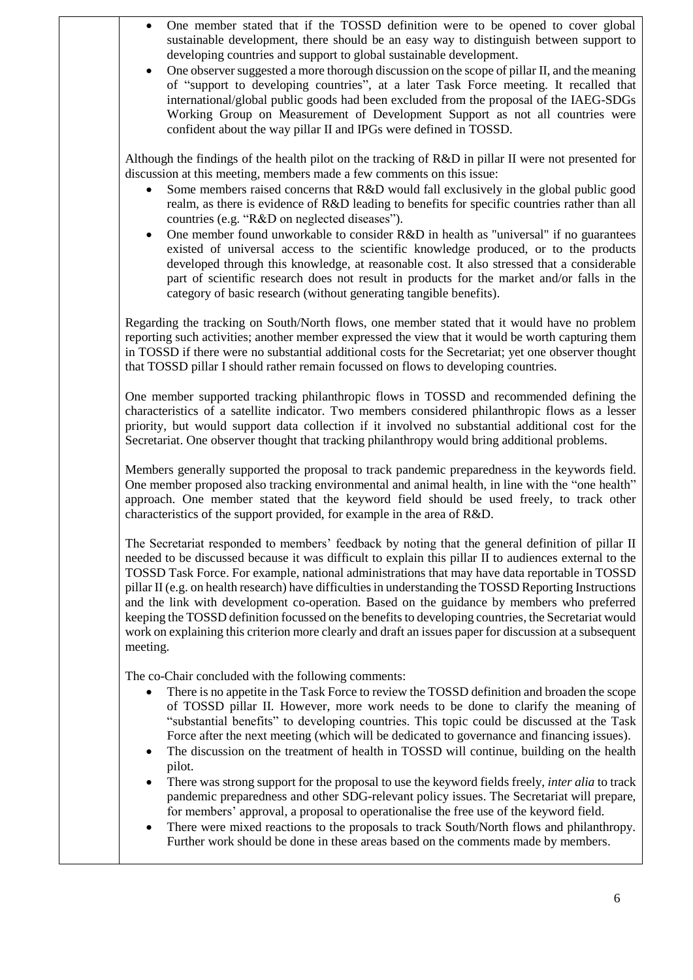- One member stated that if the TOSSD definition were to be opened to cover global sustainable development, there should be an easy way to distinguish between support to developing countries and support to global sustainable development.
- One observer suggested a more thorough discussion on the scope of pillar II, and the meaning of "support to developing countries", at a later Task Force meeting. It recalled that international/global public goods had been excluded from the proposal of the IAEG-SDGs Working Group on Measurement of Development Support as not all countries were confident about the way pillar II and IPGs were defined in TOSSD.

Although the findings of the health pilot on the tracking of R&D in pillar II were not presented for discussion at this meeting, members made a few comments on this issue:

- Some members raised concerns that R&D would fall exclusively in the global public good realm, as there is evidence of R&D leading to benefits for specific countries rather than all countries (e.g. "R&D on neglected diseases").
- One member found unworkable to consider R&D in health as "universal" if no guarantees existed of universal access to the scientific knowledge produced, or to the products developed through this knowledge, at reasonable cost. It also stressed that a considerable part of scientific research does not result in products for the market and/or falls in the category of basic research (without generating tangible benefits).

Regarding the tracking on South/North flows, one member stated that it would have no problem reporting such activities; another member expressed the view that it would be worth capturing them in TOSSD if there were no substantial additional costs for the Secretariat; yet one observer thought that TOSSD pillar I should rather remain focussed on flows to developing countries.

One member supported tracking philanthropic flows in TOSSD and recommended defining the characteristics of a satellite indicator. Two members considered philanthropic flows as a lesser priority, but would support data collection if it involved no substantial additional cost for the Secretariat. One observer thought that tracking philanthropy would bring additional problems.

Members generally supported the proposal to track pandemic preparedness in the keywords field. One member proposed also tracking environmental and animal health, in line with the "one health" approach. One member stated that the keyword field should be used freely, to track other characteristics of the support provided, for example in the area of R&D.

The Secretariat responded to members' feedback by noting that the general definition of pillar II needed to be discussed because it was difficult to explain this pillar II to audiences external to the TOSSD Task Force. For example, national administrations that may have data reportable in TOSSD pillar II (e.g. on health research) have difficulties in understanding the TOSSD Reporting Instructions and the link with development co-operation. Based on the guidance by members who preferred keeping the TOSSD definition focussed on the benefits to developing countries, the Secretariat would work on explaining this criterion more clearly and draft an issues paper for discussion at a subsequent meeting.

The co-Chair concluded with the following comments:

- There is no appetite in the Task Force to review the TOSSD definition and broaden the scope of TOSSD pillar II. However, more work needs to be done to clarify the meaning of "substantial benefits" to developing countries. This topic could be discussed at the Task Force after the next meeting (which will be dedicated to governance and financing issues).
- The discussion on the treatment of health in TOSSD will continue, building on the health pilot.
- There was strong support for the proposal to use the keyword fields freely, *inter alia* to track pandemic preparedness and other SDG-relevant policy issues. The Secretariat will prepare, for members' approval, a proposal to operationalise the free use of the keyword field.
- There were mixed reactions to the proposals to track South/North flows and philanthropy. Further work should be done in these areas based on the comments made by members.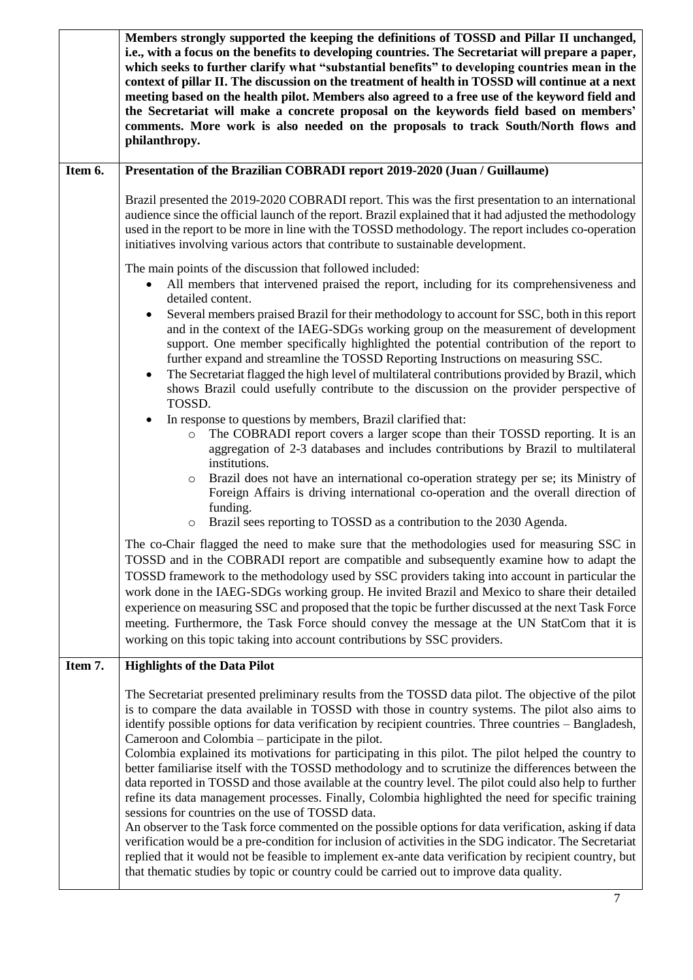|         | Members strongly supported the keeping the definitions of TOSSD and Pillar II unchanged,<br>i.e., with a focus on the benefits to developing countries. The Secretariat will prepare a paper,<br>which seeks to further clarify what "substantial benefits" to developing countries mean in the<br>context of pillar II. The discussion on the treatment of health in TOSSD will continue at a next<br>meeting based on the health pilot. Members also agreed to a free use of the keyword field and<br>the Secretariat will make a concrete proposal on the keywords field based on members'<br>comments. More work is also needed on the proposals to track South/North flows and<br>philanthropy.                                                                                                                                                                                                                                                                                                                                                                                                                                                                                                                                                                          |
|---------|-------------------------------------------------------------------------------------------------------------------------------------------------------------------------------------------------------------------------------------------------------------------------------------------------------------------------------------------------------------------------------------------------------------------------------------------------------------------------------------------------------------------------------------------------------------------------------------------------------------------------------------------------------------------------------------------------------------------------------------------------------------------------------------------------------------------------------------------------------------------------------------------------------------------------------------------------------------------------------------------------------------------------------------------------------------------------------------------------------------------------------------------------------------------------------------------------------------------------------------------------------------------------------|
| Item 6. | Presentation of the Brazilian COBRADI report 2019-2020 (Juan / Guillaume)                                                                                                                                                                                                                                                                                                                                                                                                                                                                                                                                                                                                                                                                                                                                                                                                                                                                                                                                                                                                                                                                                                                                                                                                     |
|         | Brazil presented the 2019-2020 COBRADI report. This was the first presentation to an international<br>audience since the official launch of the report. Brazil explained that it had adjusted the methodology<br>used in the report to be more in line with the TOSSD methodology. The report includes co-operation<br>initiatives involving various actors that contribute to sustainable development.                                                                                                                                                                                                                                                                                                                                                                                                                                                                                                                                                                                                                                                                                                                                                                                                                                                                       |
|         | The main points of the discussion that followed included:                                                                                                                                                                                                                                                                                                                                                                                                                                                                                                                                                                                                                                                                                                                                                                                                                                                                                                                                                                                                                                                                                                                                                                                                                     |
|         | All members that intervened praised the report, including for its comprehensiveness and<br>detailed content.                                                                                                                                                                                                                                                                                                                                                                                                                                                                                                                                                                                                                                                                                                                                                                                                                                                                                                                                                                                                                                                                                                                                                                  |
|         | Several members praised Brazil for their methodology to account for SSC, both in this report<br>$\bullet$<br>and in the context of the IAEG-SDGs working group on the measurement of development<br>support. One member specifically highlighted the potential contribution of the report to<br>further expand and streamline the TOSSD Reporting Instructions on measuring SSC.<br>The Secretariat flagged the high level of multilateral contributions provided by Brazil, which<br>$\bullet$<br>shows Brazil could usefully contribute to the discussion on the provider perspective of<br>TOSSD.                                                                                                                                                                                                                                                                                                                                                                                                                                                                                                                                                                                                                                                                          |
|         | In response to questions by members, Brazil clarified that:<br>$\bullet$<br>The COBRADI report covers a larger scope than their TOSSD reporting. It is an<br>$\circ$<br>aggregation of 2-3 databases and includes contributions by Brazil to multilateral<br>institutions.                                                                                                                                                                                                                                                                                                                                                                                                                                                                                                                                                                                                                                                                                                                                                                                                                                                                                                                                                                                                    |
|         | Brazil does not have an international co-operation strategy per se; its Ministry of<br>$\circ$<br>Foreign Affairs is driving international co-operation and the overall direction of<br>funding.<br>Brazil sees reporting to TOSSD as a contribution to the 2030 Agenda.<br>$\circ$                                                                                                                                                                                                                                                                                                                                                                                                                                                                                                                                                                                                                                                                                                                                                                                                                                                                                                                                                                                           |
|         | The co-Chair flagged the need to make sure that the methodologies used for measuring SSC in<br>TOSSD and in the COBRADI report are compatible and subsequently examine how to adapt the<br>TOSSD framework to the methodology used by SSC providers taking into account in particular the<br>work done in the IAEG-SDGs working group. He invited Brazil and Mexico to share their detailed<br>experience on measuring SSC and proposed that the topic be further discussed at the next Task Force<br>meeting. Furthermore, the Task Force should convey the message at the UN StatCom that it is<br>working on this topic taking into account contributions by SSC providers.                                                                                                                                                                                                                                                                                                                                                                                                                                                                                                                                                                                                |
| Item 7. | <b>Highlights of the Data Pilot</b>                                                                                                                                                                                                                                                                                                                                                                                                                                                                                                                                                                                                                                                                                                                                                                                                                                                                                                                                                                                                                                                                                                                                                                                                                                           |
|         | The Secretariat presented preliminary results from the TOSSD data pilot. The objective of the pilot<br>is to compare the data available in TOSSD with those in country systems. The pilot also aims to<br>identify possible options for data verification by recipient countries. Three countries - Bangladesh,<br>Cameroon and Colombia – participate in the pilot.<br>Colombia explained its motivations for participating in this pilot. The pilot helped the country to<br>better familiarise itself with the TOSSD methodology and to scrutinize the differences between the<br>data reported in TOSSD and those available at the country level. The pilot could also help to further<br>refine its data management processes. Finally, Colombia highlighted the need for specific training<br>sessions for countries on the use of TOSSD data.<br>An observer to the Task force commented on the possible options for data verification, asking if data<br>verification would be a pre-condition for inclusion of activities in the SDG indicator. The Secretariat<br>replied that it would not be feasible to implement ex-ante data verification by recipient country, but<br>that thematic studies by topic or country could be carried out to improve data quality. |
|         | $\tau$                                                                                                                                                                                                                                                                                                                                                                                                                                                                                                                                                                                                                                                                                                                                                                                                                                                                                                                                                                                                                                                                                                                                                                                                                                                                        |